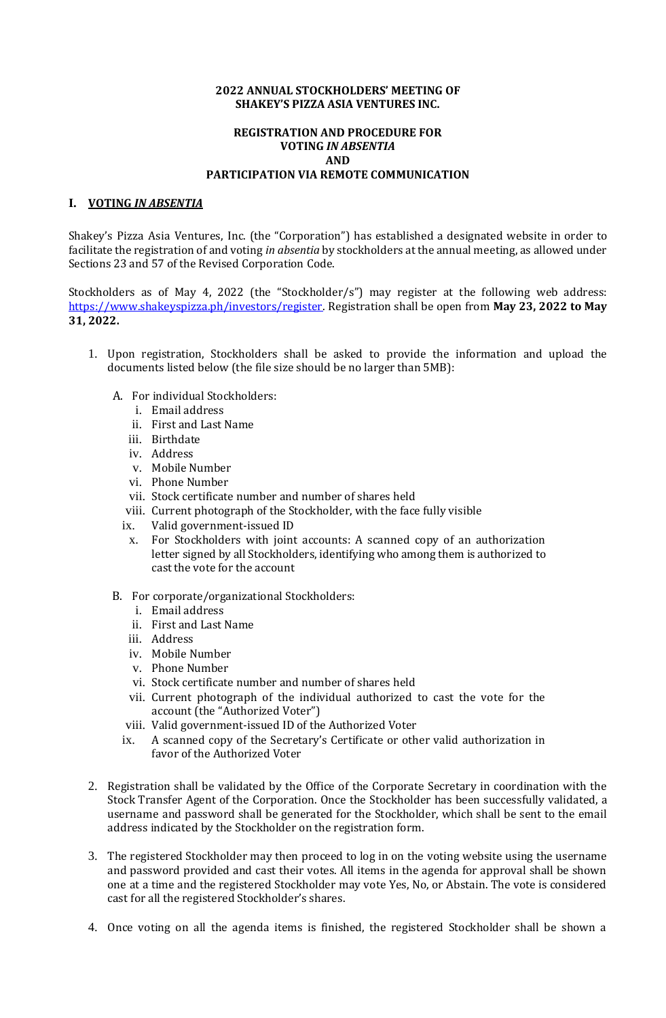## **2022 ANNUAL STOCKHOLDERS' MEETING OF SHAKEY'S PIZZA ASIA VENTURES INC.**

## **REGISTRATION AND PROCEDURE FOR VOTING** *IN ABSENTIA* **AND PARTICIPATION VIA REMOTE COMMUNICATION**

## **I. VOTING** *IN ABSENTIA*

Shakey's Pizza Asia Ventures, Inc. (the "Corporation") has established a designated website in order to facilitate the registration of and voting *in absentia* by stockholders at the annual meeting, as allowed under Sections 23 and 57 of the Revised Corporation Code.

Stockholders as of May 4, 2022 (the "Stockholder/s") may register at the following web address: [https://www.shakeyspizza.ph/investors/register.](https://www.shakeyspizza.ph/investors/register) Registration shall be open from **May 23, 2022 to May 31, 2022.**

- 1. Upon registration, Stockholders shall be asked to provide the information and upload the documents listed below (the file size should be no larger than 5MB):
	- A. For individual Stockholders:
		- i. Email address
		- ii. First and Last Name
		- iii. Birthdate
		- iv. Address
		- v. Mobile Number
		- vi. Phone Number
		- vii. Stock certificate number and number of shares held
		- viii. Current photograph of the Stockholder, with the face fully visible
		- ix. Valid government-issued ID
		- x. For Stockholders with joint accounts: A scanned copy of an authorization letter signed by all Stockholders, identifying who among them is authorized to cast the vote for the account
	- B. For corporate/organizational Stockholders:
		- i. Email address
		- ii. First and Last Name
		- iii. Address
		- iv. Mobile Number
		- v. Phone Number
		- vi. Stock certificate number and number of shares held
		- vii. Current photograph of the individual authorized to cast the vote for the account (the "Authorized Voter")
		- viii. Valid government-issued ID of the Authorized Voter
		- ix. A scanned copy of the Secretary's Certificate or other valid authorization in favor of the Authorized Voter
- 2. Registration shall be validated by the Office of the Corporate Secretary in coordination with the Stock Transfer Agent of the Corporation. Once the Stockholder has been successfully validated, a username and password shall be generated for the Stockholder, which shall be sent to the email address indicated by the Stockholder on the registration form.
- 3. The registered Stockholder may then proceed to log in on the voting website using the username and password provided and cast their votes. All items in the agenda for approval shall be shown one at a time and the registered Stockholder may vote Yes, No, or Abstain. The vote is considered cast for all the registered Stockholder's shares.
- 4. Once voting on all the agenda items is finished, the registered Stockholder shall be shown a